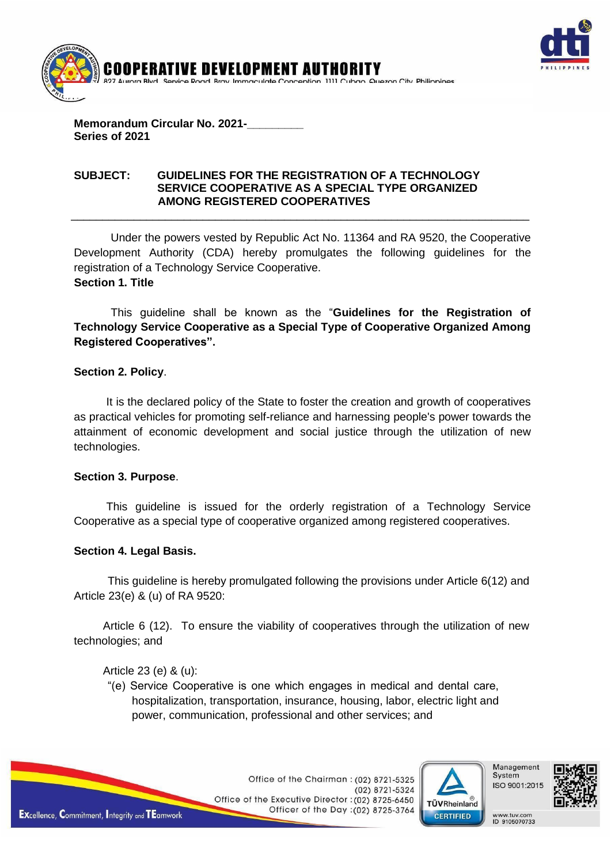



## **Memorandum Circular No. 2021-\_\_\_\_\_\_\_\_\_ Series of 2021**

### **SUBJECT: GUIDELINES FOR THE REGISTRATION OF A TECHNOLOGY SERVICE COOPERATIVE AS A SPECIAL TYPE ORGANIZED AMONG REGISTERED COOPERATIVES**

Under the powers vested by Republic Act No. 11364 and RA 9520, the Cooperative Development Authority (CDA) hereby promulgates the following guidelines for the registration of a Technology Service Cooperative.  **Section 1. Title**

\_\_\_\_\_\_\_\_\_\_\_\_\_\_\_\_\_\_\_\_\_\_\_\_\_\_\_\_\_\_\_\_\_\_\_\_\_\_\_\_\_\_\_\_\_\_\_\_\_\_\_\_\_\_\_\_\_\_\_\_\_\_\_\_\_\_\_\_\_\_\_\_\_

This guideline shall be known as the "**Guidelines for the Registration of Technology Service Cooperative as a Special Type of Cooperative Organized Among Registered Cooperatives".**

## **Section 2. Policy**.

It is the declared policy of the State to foster the creation and growth of cooperatives as practical vehicles for promoting self-reliance and harnessing people's power towards the attainment of economic development and social justice through the utilization of new technologies.

## **Section 3. Purpose**.

This guideline is issued for the orderly registration of a Technology Service Cooperative as a special type of cooperative organized among registered cooperatives.

# **Section 4. Legal Basis.**

This guideline is hereby promulgated following the provisions under Article 6(12) and Article 23(e) & (u) of RA 9520:

Article 6 (12). To ensure the viability of cooperatives through the utilization of new technologies; and

Article 23 (e) & (u):

"(e) Service Cooperative is one which engages in medical and dental care, hospitalization, transportation, insurance, housing, labor, electric light and power, communication, professional and other services; and



Office of the Chairman: (02) 8721-5325 (02) 8721-5324 Office of the Executive Director: (02) 8725-6450 Officer of the Day: (02) 8725-3764





www.tuv.com<br>ID 9105070733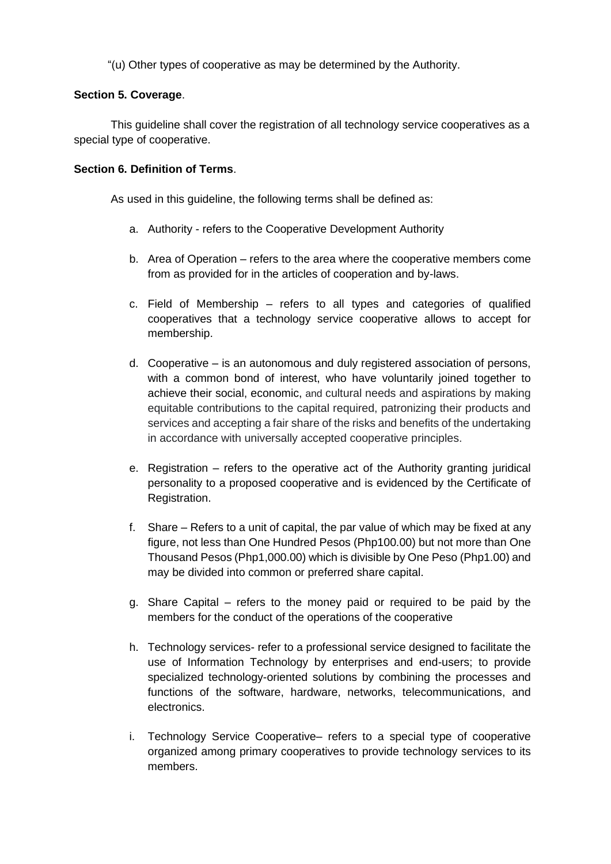"(u) Other types of cooperative as may be determined by the Authority.

#### **Section 5. Coverage**.

This guideline shall cover the registration of all technology service cooperatives as a special type of cooperative.

### **Section 6. Definition of Terms**.

As used in this guideline, the following terms shall be defined as:

- a. Authority refers to the Cooperative Development Authority
- b. Area of Operation refers to the area where the cooperative members come from as provided for in the articles of cooperation and by-laws.
- c. Field of Membership refers to all types and categories of qualified cooperatives that a technology service cooperative allows to accept for membership.
- d. Cooperative is an autonomous and duly registered association of persons, with a common bond of interest, who have voluntarily joined together to achieve their social, economic, and cultural needs and aspirations by making equitable contributions to the capital required, patronizing their products and services and accepting a fair share of the risks and benefits of the undertaking in accordance with universally accepted cooperative principles.
- e. Registration refers to the operative act of the Authority granting juridical personality to a proposed cooperative and is evidenced by the Certificate of Registration.
- f. Share Refers to a unit of capital, the par value of which may be fixed at any figure, not less than One Hundred Pesos (Php100.00) but not more than One Thousand Pesos (Php1,000.00) which is divisible by One Peso (Php1.00) and may be divided into common or preferred share capital.
- g. Share Capital refers to the money paid or required to be paid by the members for the conduct of the operations of the cooperative
- h. Technology services- refer to a professional service designed to facilitate the use of Information Technology by enterprises and end-users; to provide specialized technology-oriented solutions by combining the processes and functions of the software, hardware, networks, telecommunications, and electronics.
- i. Technology Service Cooperative– refers to a special type of cooperative organized among primary cooperatives to provide technology services to its members.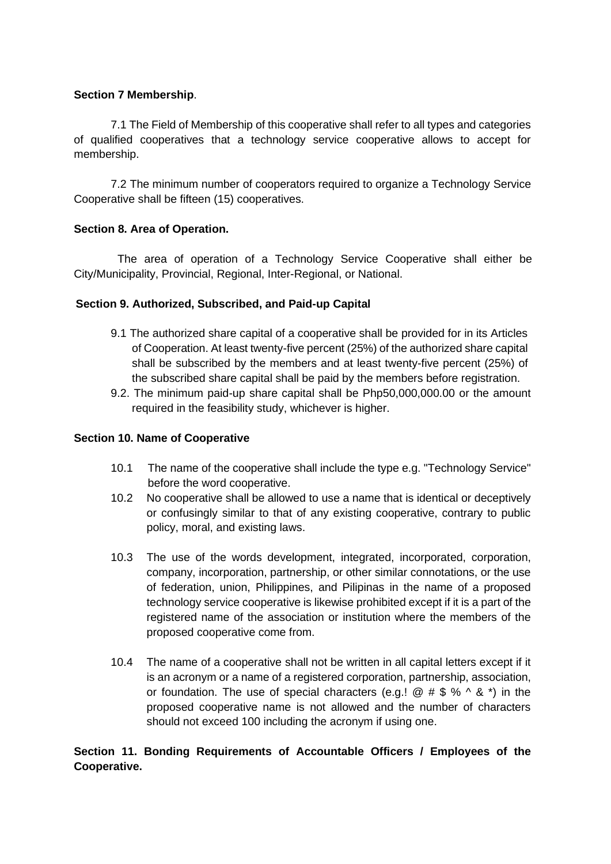# **Section 7 Membership**.

7.1 The Field of Membership of this cooperative shall refer to all types and categories of qualified cooperatives that a technology service cooperative allows to accept for membership.

7.2 The minimum number of cooperators required to organize a Technology Service Cooperative shall be fifteen (15) cooperatives.

# **Section 8. Area of Operation.**

The area of operation of a Technology Service Cooperative shall either be City/Municipality, Provincial, Regional, Inter-Regional, or National.

# **Section 9. Authorized, Subscribed, and Paid-up Capital**

- 9.1 The authorized share capital of a cooperative shall be provided for in its Articles of Cooperation. At least twenty-five percent (25%) of the authorized share capital shall be subscribed by the members and at least twenty-five percent (25%) of the subscribed share capital shall be paid by the members before registration.
- 9.2. The minimum paid-up share capital shall be Php50,000,000.00 or the amount required in the feasibility study, whichever is higher.

## **Section 10. Name of Cooperative**

- 10.1 The name of the cooperative shall include the type e.g. "Technology Service" before the word cooperative.
- 10.2 No cooperative shall be allowed to use a name that is identical or deceptively or confusingly similar to that of any existing cooperative, contrary to public policy, moral, and existing laws.
- 10.3 The use of the words development, integrated, incorporated, corporation, company, incorporation, partnership, or other similar connotations, or the use of federation, union, Philippines, and Pilipinas in the name of a proposed technology service cooperative is likewise prohibited except if it is a part of the registered name of the association or institution where the members of the proposed cooperative come from.
- 10.4 The name of a cooperative shall not be written in all capital letters except if it is an acronym or a name of a registered corporation, partnership, association, or foundation. The use of special characters (e.g.!  $@# $ % \wedge $ *"$ ) in the proposed cooperative name is not allowed and the number of characters should not exceed 100 including the acronym if using one.

# **Section 11. Bonding Requirements of Accountable Officers / Employees of the Cooperative.**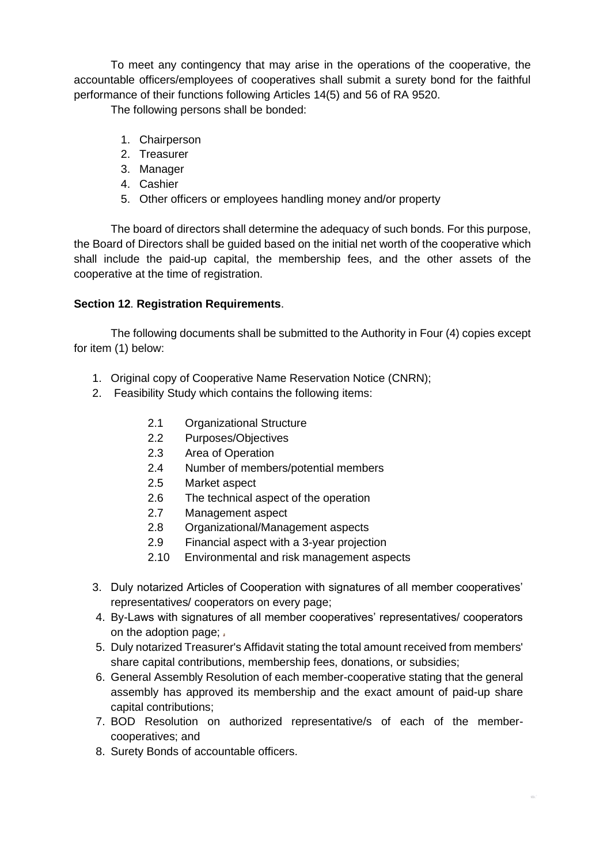To meet any contingency that may arise in the operations of the cooperative, the accountable officers/employees of cooperatives shall submit a surety bond for the faithful performance of their functions following Articles 14(5) and 56 of RA 9520.

The following persons shall be bonded:

- 1. Chairperson
- 2. Treasurer
- 3. Manager
- 4. Cashier
- 5. Other officers or employees handling money and/or property

The board of directors shall determine the adequacy of such bonds. For this purpose, the Board of Directors shall be guided based on the initial net worth of the cooperative which shall include the paid-up capital, the membership fees, and the other assets of the cooperative at the time of registration.

# **Section 12**. **Registration Requirements**.

The following documents shall be submitted to the Authority in Four (4) copies except for item (1) below:

- 1. Original copy of Cooperative Name Reservation Notice (CNRN);
- 2. Feasibility Study which contains the following items:
	- 2.1 Organizational Structure
	- 2.2 Purposes/Objectives
	- 2.3 Area of Operation
	- 2.4 Number of members/potential members
	- 2.5 Market aspect
	- 2.6 The technical aspect of the operation
	- 2.7 Management aspect
	- 2.8 Organizational/Management aspects
	- 2.9 Financial aspect with a 3-year projection
	- 2.10 Environmental and risk management aspects
- 3. Duly notarized Articles of Cooperation with signatures of all member cooperatives' representatives/ cooperators on every page;
- 4. By-Laws with signatures of all member cooperatives' representatives/ cooperators on the adoption page;
- 5. Duly notarized Treasurer's Affidavit stating the total amount received from members' share capital contributions, membership fees, donations, or subsidies;
- 6. General Assembly Resolution of each member-cooperative stating that the general assembly has approved its membership and the exact amount of paid-up share capital contributions;
- 7. BOD Resolution on authorized representative/s of each of the membercooperatives; and
- 8. Surety Bonds of accountable officers.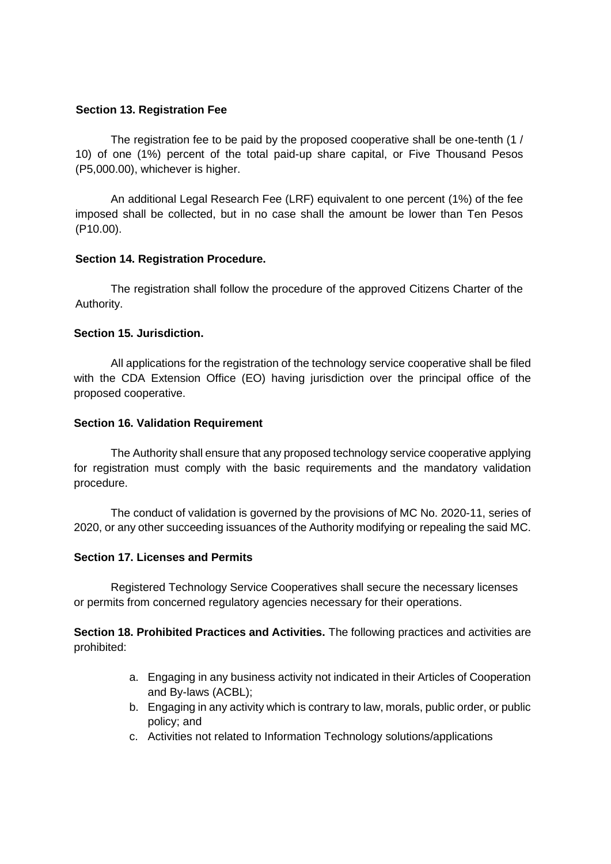### **Section 13. Registration Fee**

The registration fee to be paid by the proposed cooperative shall be one-tenth (1 / 10) of one (1%) percent of the total paid-up share capital, or Five Thousand Pesos (P5,000.00), whichever is higher.

An additional Legal Research Fee (LRF) equivalent to one percent (1%) of the fee imposed shall be collected, but in no case shall the amount be lower than Ten Pesos (P10.00).

## **Section 14. Registration Procedure.**

The registration shall follow the procedure of the approved Citizens Charter of the Authority.

# **Section 15. Jurisdiction.**

All applications for the registration of the technology service cooperative shall be filed with the CDA Extension Office (EO) having jurisdiction over the principal office of the proposed cooperative.

## **Section 16. Validation Requirement**

The Authority shall ensure that any proposed technology service cooperative applying for registration must comply with the basic requirements and the mandatory validation procedure.

The conduct of validation is governed by the provisions of MC No. 2020-11, series of 2020, or any other succeeding issuances of the Authority modifying or repealing the said MC.

## **Section 17. Licenses and Permits**

Registered Technology Service Cooperatives shall secure the necessary licenses or permits from concerned regulatory agencies necessary for their operations.

**Section 18. Prohibited Practices and Activities.** The following practices and activities are prohibited:

- a. Engaging in any business activity not indicated in their Articles of Cooperation and By-laws (ACBL);
- b. Engaging in any activity which is contrary to law, morals, public order, or public policy; and
- c. Activities not related to Information Technology solutions/applications